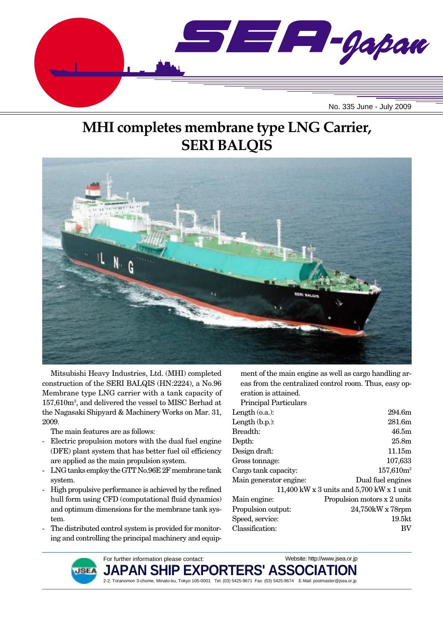

# **MHI completes membrane type LNG Carrier, SERI BALQIS**



Mitsubishi Heavy Industries, Ltd. (MHI) completed construction of the SERI BALQIS (HN:2224), a No.96 Membrane type LNG carrier with a tank capacity of 157,610m3 , and delivered the vessel to MISC Berhad at the Nagasaki Shipyard & Machinery Works on Mar. 31, 2009.

The main features are as follows:

- Electric propulsion motors with the dual fuel engine (DFE) plant system that has better fuel oil efficiency are applied as the main propulsion system.
- LNG tanks employ the GTT No.96E 2F membrane tank system.
- High propulsive performance is achieved by the refined hull form using CFD (computational fluid dynamics) and optimum dimensions for the membrane tank system.
- The distributed control system is provided for monitoring and controlling the principal machinery and equip-

ment of the main engine as well as cargo handling areas from the centralized control room. Thus, easy operation is attained.

Principal Particulars

| Length $(0.a.)$ :      | 294.6m                                      |
|------------------------|---------------------------------------------|
| Length $(b.p.):$       | 281.6m                                      |
| Breadth:               | 46.5m                                       |
| Depth:                 | 25.8 <sub>m</sub>                           |
| Design draft:          | 11.15m                                      |
| Gross tonnage:         | 107,633                                     |
| Cargo tank capacity:   | $157,610m^3$                                |
| Main generator engine: | Dual fuel engines                           |
|                        | 11,400 kW x 3 units and $5,700$ kW x 1 unit |
| Main engine:           | Propulsion motors x 2 units                 |
| Propulsion output:     | 24,750kW x 78rpm                            |
| Speed, service:        | 19.5 <sub>kt</sub>                          |
| Classification:        | BV                                          |
|                        |                                             |



For further information please contact: JAPAN SHIP EXPORTERS' ASSO 2-2, Toranomon 3-chome, Minato-ku, Tokyo 105-0001 Tel: (03) 5425-9671 Fax: (03) 5425-9674 E-Mail: postmaster@jsea.or.jp Website: http://www.jsea.or.jp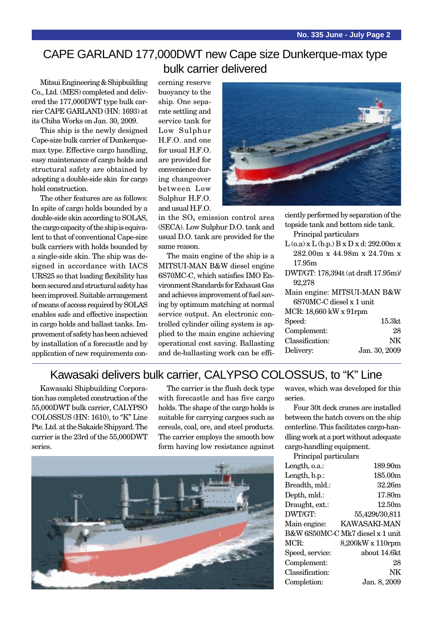### CAPE GARLAND 177,000DWT new Cape size Dunkerque-max type bulk carrier delivered

Mitsui Engineering & Shipbuilding Co., Ltd. (MES) completed and delivered the 177,000DWT type bulk carrier CAPE GARLAND (HN: 1693) at its Chiba Works on Jan. 30, 2009.

This ship is the newly designed Cape-size bulk carrier of Dunkerquemax type. Effective cargo handling, easy maintenance of cargo holds and structural safety are obtained by adopting a double-side skin for cargo hold construction.

The other features are as follows: In spite of cargo holds bounded by a double-side skin according to SOLAS, the cargo capacity of the ship is equivalent to that of conventional Cape-size bulk carriers with holds bounded by a single-side skin. The ship was designed in accordance with IACS URS25 so that loading flexibility has been secured and structural safety has been improved. Suitable arrangement of means of access required by SOLAS enables safe and effective inspection in cargo holds and ballast tanks. Improvement of safety has been achieved by installation of a forecastle and by application of new requirements concerning reserve buoyancy to the ship. One separate settling and service tank for Low Sulphur H.F.O. and one for usual H.F.O. are provided for convenience during changeover between Low Sulphur H.F.O. and usual H.F.O.

in the SO<sub>y</sub> emission control area (SECA). Low Sulphur D.O. tank and usual D.O. tank are provided for the same reason.

The main engine of the ship is a MITSUI-MAN B&W diesel engine 6S70MC-C, which satisfies IMO Environment Standards for Exhaust Gas and achieves improvement of fuel saving by optimum matching at normal service output. An electronic controlled cylinder oiling system is applied to the main engine achieving operational cost saving. Ballasting and de-ballasting work can be effi-



| ciently performed by separation of the                   |               |  |
|----------------------------------------------------------|---------------|--|
| topside tank and bottom side tank.                       |               |  |
| Principal particulars                                    |               |  |
| $L$ (o.a) x $L$ (b.p.) $B \times D \times d$ : 292.00m x |               |  |
| 282.00m x 44.98m x 24.70m x                              |               |  |
| 17.95m                                                   |               |  |
| DWT/GT: 178,394t (at draft 17.95m)/                      |               |  |
| 92,278                                                   |               |  |
| Main engine: MITSUI-MAN B&W                              |               |  |
| 6S70MC-C diesel x 1 unit                                 |               |  |
| MCR: 18,660 kW x 91rpm                                   |               |  |
| Speed:                                                   | 15.3kt        |  |
| Complement:                                              | 28            |  |
| Classification:                                          | NK            |  |
| Delivery:                                                | Jan. 30, 2009 |  |
|                                                          |               |  |

### Kawasaki delivers bulk carrier, CALYPSO COLOSSUS, to "K" Line

Kawasaki Shipbuilding Corporation has completed construction of the 55,000DWT bulk carrier, CALYPSO COLOSSUS (HN: 1610), to "K" Line Pte. Ltd. at the Sakaide Shipyard. The carrier is the 23rd of the 55,000DWT series.

The carrier is the flush deck type with forecastle and has five cargo holds. The shape of the cargo holds is suitable for carrying cargoes such as cereals, coal, ore, and steel products. The carrier employs the smooth bow form having low resistance against



waves, which was developed for this series.

Four 30t deck cranes are installed between the hatch covers on the ship centerline. This facilitates cargo-handling work at a port without adequate cargo-handling equipment.

| Principal particulars |                                  |
|-----------------------|----------------------------------|
| Length, o.a.:         | 189.90m                          |
| Length, b.p.:         | 185.00m                          |
| Breadth, mld.:        | 32.26m                           |
| Depth, mld.:          | 17.80m                           |
| Draught, ext.:        | 12.50 <sub>m</sub>               |
| DWT/GT:               | 55,429t/30,811                   |
| Main engine:          | KAWASAKI-MAN                     |
|                       | B&W 6S50MC-C Mk7 diesel x 1 unit |
| MCR:                  | 8,200kW x 110rpm                 |
| Speed, service:       | about 14.6kt                     |
| Complement:           | 28                               |
| Classification:       | NK                               |
| Completion:           | Jan. 8, 2009                     |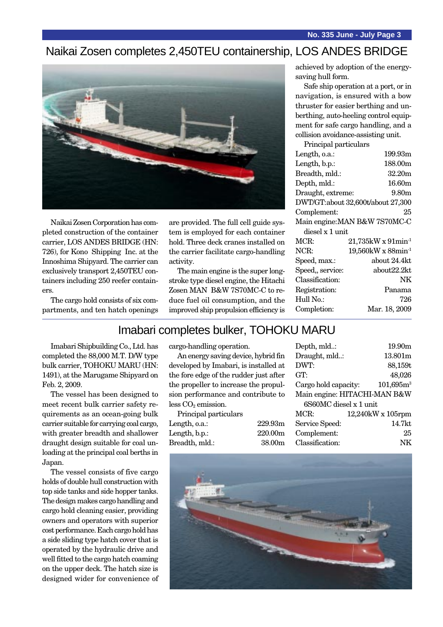### Naikai Zosen completes 2,450TEU containership, LOS ANDES BRIDGE



Naikai Zosen Corporation has completed construction of the container carrier, LOS ANDES BRIDGE (HN: 726), for Kono Shipping Inc. at the Innoshima Shipyard. The carrier can exclusively transport 2,450TEU containers including 250 reefer containers.

The cargo hold consists of six compartments, and ten hatch openings are provided. The full cell guide system is employed for each container hold. Three deck cranes installed on the carrier facilitate cargo-handling activity.

The main engine is the super longstroke type diesel engine, the Hitachi Zosen MAN B&W 7S70MC-C to reduce fuel oil consumption, and the improved ship propulsion efficiency is achieved by adoption of the energysaving hull form.

Safe ship operation at a port, or in navigation, is ensured with a bow thruster for easier berthing and unberthing, auto-heeling control equipment for safe cargo handling, and a collision avoidance-assisting unit.

Principal particulars

| Length, o.a.:     | 199.93m                              |
|-------------------|--------------------------------------|
| Length, b.p.:     | 188.00m                              |
| Breadth, mld.:    | 32.20m                               |
| Depth, mld.:      | 16.60m                               |
| Draught, extreme: | $9.80\mathrm{m}$                     |
|                   | DWT/GT:about 32,600t/about 27,300    |
| Complement:       | 25                                   |
|                   | Main engine: MAN B&W 7S70MC-C        |
| diesel x 1 unit   |                                      |
| MCR:              | $21,735$ kW x $91$ min <sup>-1</sup> |
| NCR:              | $19,560$ kW x 88min <sup>-1</sup>    |
| Speed, max.:      | about 24.4kt                         |
| Speed, service:   | about22.2kt                          |
| Classification:   | NΚ                                   |
| Registration:     | Panama                               |
| Hull No.:         | 726                                  |
| Completion:       | Mar. 18, 2009                        |
|                   |                                      |

### Imabari completes bulker, TOHOKU MARU

Imabari Shipbuilding Co., Ltd. has completed the 88,000 M.T. D/W type bulk carrier, TOHOKU MARU (HN: 1491), at the Marugame Shipyard on Feb. 2, 2009.

The vessel has been designed to meet recent bulk carrier safety requirements as an ocean-going bulk carrier suitable for carrying coal cargo, with greater breadth and shallower draught design suitable for coal unloading at the principal coal berths in Japan.

The vessel consists of five cargo holds of double hull construction with top side tanks and side hopper tanks. The design makes cargo handling and cargo hold cleaning easier, providing owners and operators with superior cost performance. Each cargo hold has a side sliding type hatch cover that is operated by the hydraulic drive and well fitted to the cargo hatch coaming on the upper deck. The hatch size is designed wider for convenience of cargo-handling operation.

An energy saving device, hybrid fin developed by Imabari, is installed at the fore edge of the rudder just after the propeller to increase the propulsion performance and contribute to  $less CO<sub>2</sub> emission.$ 

Principal particulars Length, o.a.: 229.93m Length, b.p.: 220.00m Breadth, mld.: 38.00m

| Depth, mld:                  |  | 19.90m                  |
|------------------------------|--|-------------------------|
| Draught, mld:                |  | 13.801m                 |
| DWT:                         |  | 88,159t                 |
| GT:                          |  | 48,026                  |
| Cargo hold capacity:         |  | $101,695m^3$            |
| Main engine: HITACHI-MAN B&W |  |                         |
| 6S60MC diesel x 1 unit       |  |                         |
| MCR:                         |  | $12,240$ kW x $105$ rpm |
| Service Speed:               |  | 14.7kt                  |
| Complement:                  |  | 25                      |
| Classification:              |  |                         |
|                              |  |                         |

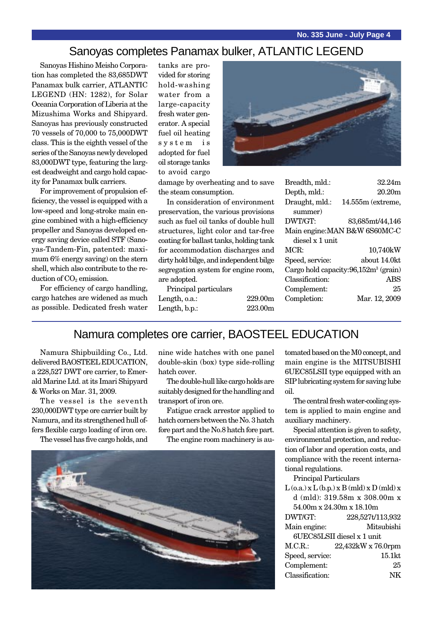### Sanoyas completes Panamax bulker, ATLANTIC LEGEND

Sanoyas Hishino Meisho Corporation has completed the 83,685DWT Panamax bulk carrier, ATLANTIC LEGEND (HN: 1282), for Solar Oceania Corporation of Liberia at the Mizushima Works and Shipyard. Sanoyas has previously constructed 70 vessels of 70,000 to 75,000DWT class. This is the eighth vessel of the series of the Sanoyas newly developed 83,000DWT type, featuring the largest deadweight and cargo hold capacity for Panamax bulk carriers.

For improvement of propulsion efficiency, the vessel is equipped with a low-speed and long-stroke main engine combined with a high-efficiency propeller and Sanoyas developed energy saving device called STF (Sanoyas-Tandem-Fin, patented: maximum 6% energy saving) on the stern shell, which also contribute to the reduction of  $CO<sub>2</sub>$  emission.

For efficiency of cargo handling, cargo hatches are widened as much as possible. Dedicated fresh water

tanks are provided for storing hold-washing water from a large-capacity fresh water generator. A special fuel oil heating system is adopted for fuel oil storage tanks to avoid cargo



damage by overheating and to save the steam consumption.

In consideration of environment preservation, the various provisions such as fuel oil tanks of double hull structures, light color and tar-free coating for ballast tanks, holding tank for accommodation discharges and dirty hold bilge, and independent bilge segregation system for engine room, are adopted.

Principal particulars Length, o.a.: 229.00m Length, b.p.: 223.00m

| Breadth, mld.:  | 32 24m                                  |
|-----------------|-----------------------------------------|
| Depth, mld.:    | 20 20m                                  |
| Draught, mld.:  | 14.555m (extreme,                       |
| summer)         |                                         |
| DWT/GT:         | 83,685mt/44,146                         |
|                 | Main engine: MAN B&W 6S60MC-C           |
| diesel x 1 unit |                                         |
| MCR:            | 10,740kW                                |
| Speed, service: | about 14.0kt                            |
|                 | Cargo hold capacity: $96,152m3$ (grain) |
| Classification: | ABS                                     |
|                 |                                         |
| Complement:     | 25                                      |
| Completion:     | Mar. 12, 2009                           |

## Namura completes ore carrier, BAOSTEEL EDUCATION

Namura Shipbuilding Co., Ltd. delivered BAOSTEEL EDUCATION, a 228,527 DWT ore carrier, to Emerald Marine Ltd. at its Imari Shipyard & Works on Mar. 31, 2009.

The vessel is the seventh 230,000DWT type ore carrier built by Namura, and its strengthened hull offers flexible cargo loading of iron ore.

The vessel has five cargo holds, and

nine wide hatches with one panel double-skin (box) type side-rolling hatch cover.

The double-hull like cargo holds are suitably designed for the handling and transport of iron ore.

Fatigue crack arrestor applied to hatch corners between the No. 3 hatch fore part and the No.8 hatch fore part.

The engine room machinery is au-



tomated based on the M0 concept, and main engine is the MITSUBISHI 6UEC85LSII type equipped with an SIP lubricating system for saving lube oil.

The central fresh water-cooling system is applied to main engine and auxiliary machinery.

Special attention is given to safety, environmental protection, and reduction of labor and operation costs, and compliance with the recent international regulations.

Principal Particulars

|                            | $L$ (o.a.) x $L$ (b.p.) x $B$ (mld) x $D$ (mld) x |
|----------------------------|---------------------------------------------------|
|                            | d (mld): 319.58m x 308.00m x                      |
| 54.00m x 24.30m x 18.10m   |                                                   |
| DWT/GT:                    | 228,527t/113,932                                  |
| Main engine:               | Mitsubishi                                        |
| 6UEC85LSII diesel x 1 unit |                                                   |
| M.C.R.                     | 22,432kW x 76.0rpm                                |
| Speed, service:            | 15.1kt                                            |
| Complement:                | 25                                                |
| Classification:            |                                                   |
|                            |                                                   |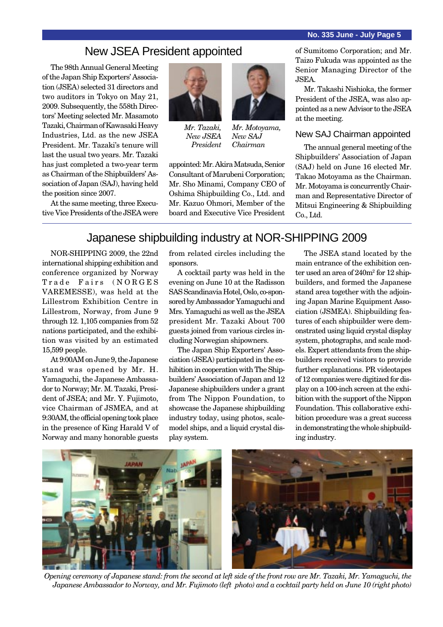#### **No. 335 June - July Page 5**

### New JSEA President appointed

The 98th Annual General Meeting of the Japan Ship Exporters' Association (JSEA) selected 31 directors and two auditors in Tokyo on May 21, 2009. Subsequently, the 558th Directors' Meeting selected Mr. Masamoto Tazaki, Chairman of Kawasaki Heavy Industries, Ltd. as the new JSEA President. Mr. Tazaki's tenure will last the usual two years. Mr. Tazaki has just completed a two-year term as Chairman of the Shipbuilders' Association of Japan (SAJ), having held the position since 2007.

At the same meeting, three Executive Vice Presidents of the JSEA were



*Mr. Tazaki, New JSEA President*



*Mr. Motoyama, New SAJ Chairman*

appointed: Mr. Akira Matsuda, Senior Consultant of Marubeni Corporation; Mr. Sho Minami, Company CEO of Oshima Shipbuilding Co., Ltd. and Mr. Kazuo Ohmori, Member of the board and Executive Vice President

of Sumitomo Corporation; and Mr. Taizo Fukuda was appointed as the Senior Managing Director of the JSEA.

Mr. Takashi Nishioka, the former President of the JSEA, was also appointed as a new Advisor to the JSEA at the meeting.

#### New SAJ Chairman appointed

The annual general meeting of the Shipbuilders' Association of Japan (SAJ) held on June 16 elected Mr. Takao Motoyama as the Chairman. Mr. Motoyama is concurrently Chairman and Representative Director of Mitsui Engineering & Shipbuilding Co., Ltd.

### Japanese shipbuilding industry at NOR-SHIPPING 2009

NOR-SHIPPING 2009, the 22nd international shipping exhibition and conference organized by Norway Trade Fairs (NORGES VAREMESSE), was held at the Lillestrom Exhibition Centre in Lillestrom, Norway, from June 9 through 12. 1,105 companies from 52 nations participated, and the exhibition was visited by an estimated 15,599 people.

At 9:00AM on June 9, the Japanese stand was opened by Mr. H. Yamaguchi, the Japanese Ambassador to Norway; Mr. M. Tazaki, President of JSEA; and Mr. Y. Fujimoto, vice Chairman of JSMEA, and at 9:30AM, the official opening took place in the presence of King Harald V of Norway and many honorable guests

from related circles including the sponsors.

A cocktail party was held in the evening on June 10 at the Radisson SAS Scandinavia Hotel, Oslo, co-sponsored by Ambassador Yamaguchi and Mrs. Yamaguchi as well as the JSEA president Mr. Tazaki About 700 guests joined from various circles including Norwegian shipowners.

The Japan Ship Exporters' Association (JSEA) participated in the exhibition in cooperation with The Shipbuilders' Association of Japan and 12 Japanese shipbuilders under a grant from The Nippon Foundation, to showcase the Japanese shipbuilding industry today, using photos, scalemodel ships, and a liquid crystal display system.

The JSEA stand located by the main entrance of the exhibition center used an area of  $240m^2$  for  $12 \text{ ship}$ builders, and formed the Japanese stand area together with the adjoining Japan Marine Equipment Association (JSMEA). Shipbuilding features of each shipbuilder were demonstrated using liquid crystal display system, photographs, and scale models. Expert attendants from the shipbuilders received visitors to provide further explanations. PR videotapes of 12 companies were digitized for display on a 100-inch screen at the exhibition with the support of the Nippon Foundation. This collaborative exhibition procedure was a great success in demonstrating the whole shipbuilding industry.



*Opening ceremony of Japanese stand: from the second at left side of the front row are Mr. Tazaki, Mr. Yamaguchi, the Japanese Ambassador to Norway, and Mr. Fujimoto (left photo) and a cocktail party held on June 10 (right photo)*